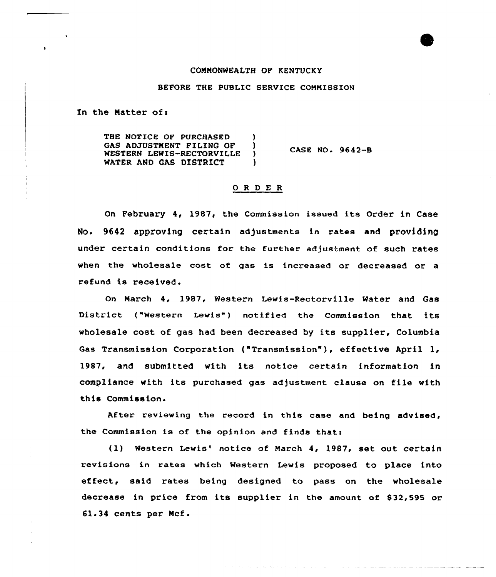### COMMONWEALTH OP KENTUCKY

# BEFORE THE PUBLIC SERVICE COMMISSION

In the Matter of:

THE NOTICE OF PURCHASED ) GAS ADJUSTMENT FILING OF ) WESTERN LEWIS-RECTORVILLE WATER AND GAS DISTRICT ) CASE NO. 9642-B

### ORDER

On February 4, 1987, the Commission issued its Order in Case No. 9642 approving certain adjustments in rates and providing under certain conditions for the further adjustment of such rates when the wholesale cost of gas is increased or decreased or a refund is received.

On March 4, 1987, Western Lewis-Rectorville Water and Gas District ("Western Lewis") notified the Commission that its wholesale cost of gas had been decreased by its supplier, Columbia Gas Transmission Corporation ("Transmission" ), effective April 1, 1987, and submitted with its notice certain information in compliance with its purchased gas adjustment clause on file with this Commission.

After reviewing the record in this case and being advised, the Commission is of the opinion and finds that:

(1) Western Lewis' notice of March 4, 1987, set out certain revisions in rates which Western Lewis proposed to place into effect, said rates being designed to pass on the wholesale decrease in price from its supplier in the amount of \$32,595 or 61-34 cents per Ncf.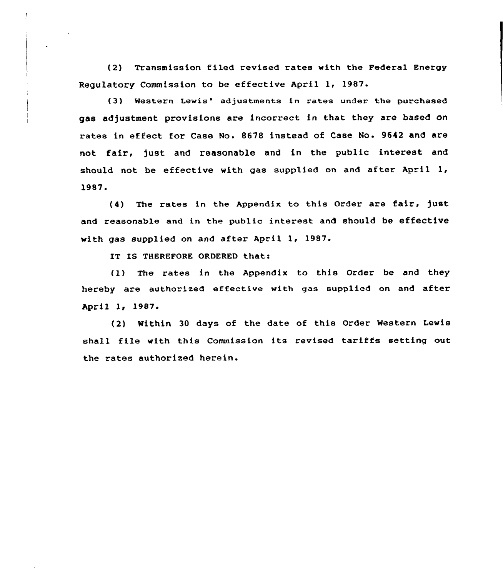(2) Transmission filed revised rates with the Federal Energy Regulatory Commission to be effective April 1, 1987.

(3) Western Lewis' adjustments in rates under the purchased gas adjustment provisions are incorrect in that they are based on rates in effect for Case No. 8678 instead of Case No. 9642 and are not fair, just and reasonable and in the public interest and should not be effective with gas supplied on and after April  $1$ , 1987.

{4) The rates in the Appendix to this Order are fair, )ust and reasonable and in the public interest and should be effective with gas supplied on and after April 1, 1987.

IT IS THEREFORE ORDERED that:

(1) The rates in the Appendix to this Order be and they hereby are authorized effective with gas supplied on and after April l< 1987-

(2) Within 30 days of the date of this Order Western Lewis shall file with this Commission its revised tariffs setting out the rates authorized herein.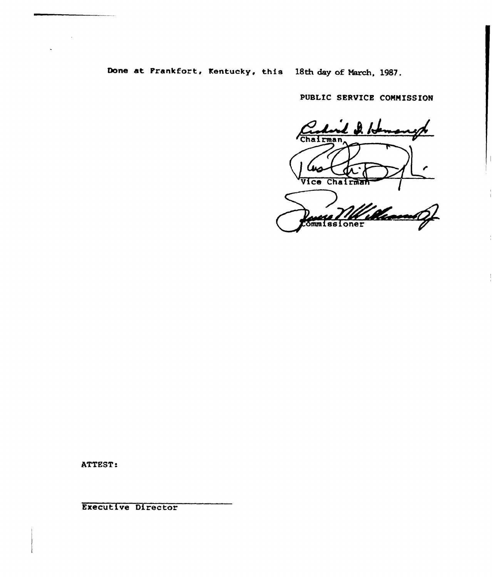Done at Prankfort, Kentucky, this 18th day of March, 1987.

PUBLIC SERVICE COMMISSION

⊭ /Ժ Chairman Vice Chairman

" |<br>!//ham  $\mathcal{L}$ **Ommissioner** 

ATTEST:

Executive Director